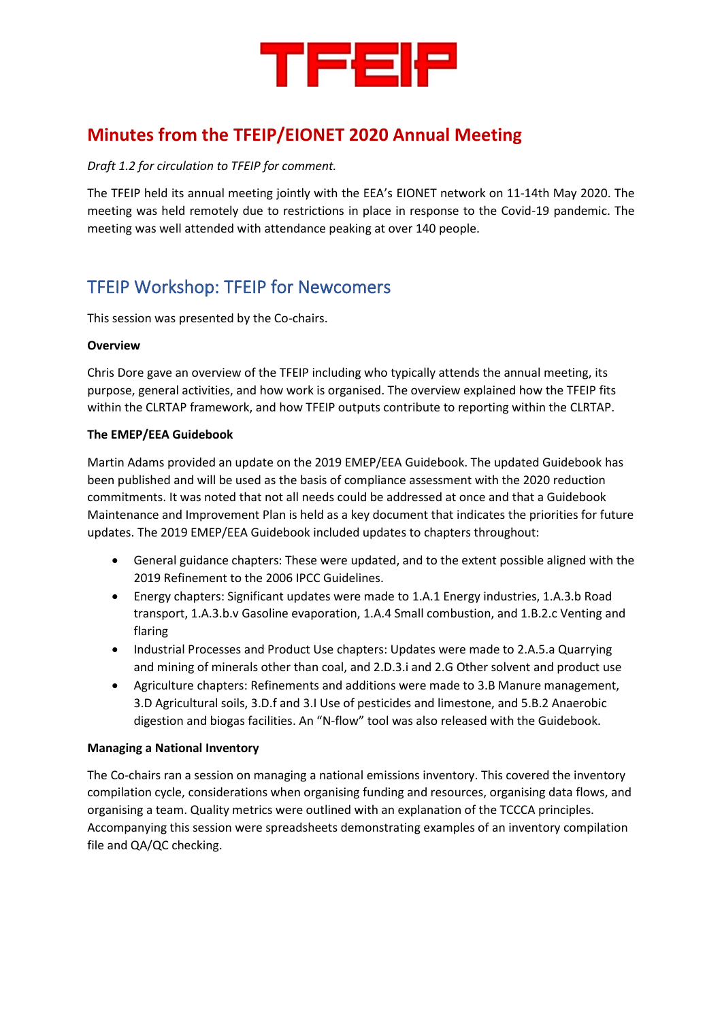

# **Minutes from the TFEIP/EIONET 2020 Annual Meeting**

#### *Draft 1.2 for circulation to TFEIP for comment.*

The TFEIP held its annual meeting jointly with the EEA's EIONET network on 11-14th May 2020. The meeting was held remotely due to restrictions in place in response to the Covid-19 pandemic. The meeting was well attended with attendance peaking at over 140 people.

# TFEIP Workshop: TFEIP for Newcomers

This session was presented by the Co-chairs.

#### **Overview**

Chris Dore gave an overview of the TFEIP including who typically attends the annual meeting, its purpose, general activities, and how work is organised. The overview explained how the TFEIP fits within the CLRTAP framework, and how TFEIP outputs contribute to reporting within the CLRTAP.

#### **The EMEP/EEA Guidebook**

Martin Adams provided an update on the 2019 EMEP/EEA Guidebook. The updated Guidebook has been published and will be used as the basis of compliance assessment with the 2020 reduction commitments. It was noted that not all needs could be addressed at once and that a Guidebook Maintenance and Improvement Plan is held as a key document that indicates the priorities for future updates. The 2019 EMEP/EEA Guidebook included updates to chapters throughout:

- General guidance chapters: These were updated, and to the extent possible aligned with the 2019 Refinement to the 2006 IPCC Guidelines.
- Energy chapters: Significant updates were made to 1.A.1 Energy industries, 1.A.3.b Road transport, 1.A.3.b.v Gasoline evaporation, 1.A.4 Small combustion, and 1.B.2.c Venting and flaring
- Industrial Processes and Product Use chapters: Updates were made to 2.A.5.a Quarrying and mining of minerals other than coal, and 2.D.3.i and 2.G Other solvent and product use
- Agriculture chapters: Refinements and additions were made to 3.B Manure management, 3.D Agricultural soils, 3.D.f and 3.I Use of pesticides and limestone, and 5.B.2 Anaerobic digestion and biogas facilities. An "N-flow" tool was also released with the Guidebook.

#### **Managing a National Inventory**

The Co-chairs ran a session on managing a national emissions inventory. This covered the inventory compilation cycle, considerations when organising funding and resources, organising data flows, and organising a team. Quality metrics were outlined with an explanation of the TCCCA principles. Accompanying this session were spreadsheets demonstrating examples of an inventory compilation file and QA/QC checking.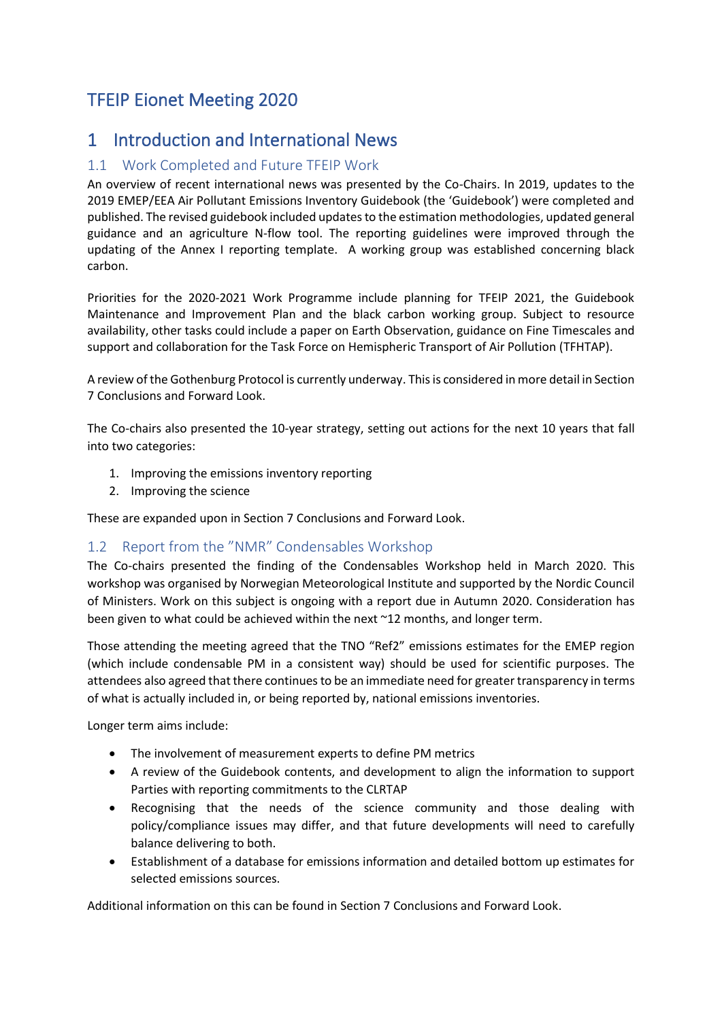# TFEIP Eionet Meeting 2020

## 1 Introduction and International News

### 1.1 Work Completed and Future TFEIP Work

An overview of recent international news was presented by the Co-Chairs. In 2019, updates to the 2019 EMEP/EEA Air Pollutant Emissions Inventory Guidebook (the 'Guidebook') were completed and published. The revised guidebook included updates to the estimation methodologies, updated general guidance and an agriculture N-flow tool. The reporting guidelines were improved through the updating of the Annex I reporting template. A working group was established concerning black carbon.

Priorities for the 2020-2021 Work Programme include planning for TFEIP 2021, the Guidebook Maintenance and Improvement Plan and the black carbon working group. Subject to resource availability, other tasks could include a paper on Earth Observation, guidance on Fine Timescales and support and collaboration for the Task Force on Hemispheric Transport of Air Pollution (TFHTAP).

A review of the Gothenburg Protocol is currently underway. This is considered in more detail in Section [7](#page-6-0) [Conclusions and Forward Look.](#page-6-0)

The Co-chairs also presented the 10-year strategy, setting out actions for the next 10 years that fall into two categories:

- 1. Improving the emissions inventory reporting
- 2. Improving the science

These are expanded upon in Sectio[n 7](#page-6-0) [Conclusions and Forward Look.](#page-6-0)

### 1.2 Report from the "NMR" Condensables Workshop

The Co-chairs presented the finding of the Condensables Workshop held in March 2020. This workshop was organised by Norwegian Meteorological Institute and supported by the Nordic Council of Ministers. Work on this subject is ongoing with a report due in Autumn 2020. Consideration has been given to what could be achieved within the next ~12 months, and longer term.

Those attending the meeting agreed that the TNO "Ref2" emissions estimates for the EMEP region (which include condensable PM in a consistent way) should be used for scientific purposes. The attendees also agreed that there continues to be an immediate need for greater transparency in terms of what is actually included in, or being reported by, national emissions inventories.

Longer term aims include:

- The involvement of measurement experts to define PM metrics
- A review of the Guidebook contents, and development to align the information to support Parties with reporting commitments to the CLRTAP
- Recognising that the needs of the science community and those dealing with policy/compliance issues may differ, and that future developments will need to carefully balance delivering to both.
- Establishment of a database for emissions information and detailed bottom up estimates for selected emissions sources.

Additional information on this can be found in Section [7](#page-6-0) [Conclusions and Forward Look.](#page-6-0)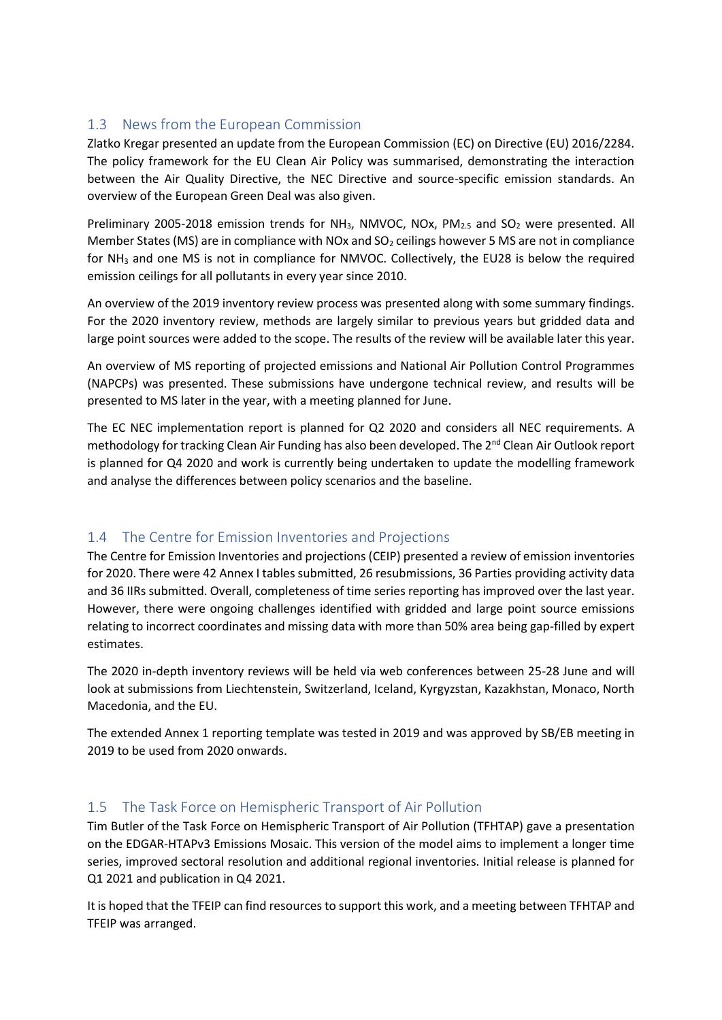## 1.3 News from the European Commission

Zlatko Kregar presented an update from the European Commission (EC) on Directive (EU) 2016/2284. The policy framework for the EU Clean Air Policy was summarised, demonstrating the interaction between the Air Quality Directive, the NEC Directive and source-specific emission standards. An overview of the European Green Deal was also given.

Preliminary 2005-2018 emission trends for NH<sub>3</sub>, NMVOC, NOx, PM<sub>2.5</sub> and SO<sub>2</sub> were presented. All Member States (MS) are in compliance with NOx and  $SO<sub>2</sub>$  ceilings however 5 MS are not in compliance for NH<sup>3</sup> and one MS is not in compliance for NMVOC. Collectively, the EU28 is below the required emission ceilings for all pollutants in every year since 2010.

An overview of the 2019 inventory review process was presented along with some summary findings. For the 2020 inventory review, methods are largely similar to previous years but gridded data and large point sources were added to the scope. The results of the review will be available later this year.

An overview of MS reporting of projected emissions and National Air Pollution Control Programmes (NAPCPs) was presented. These submissions have undergone technical review, and results will be presented to MS later in the year, with a meeting planned for June.

The EC NEC implementation report is planned for Q2 2020 and considers all NEC requirements. A methodology for tracking Clean Air Funding has also been developed. The 2<sup>nd</sup> Clean Air Outlook report is planned for Q4 2020 and work is currently being undertaken to update the modelling framework and analyse the differences between policy scenarios and the baseline.

### 1.4 The Centre for Emission Inventories and Projections

The Centre for Emission Inventories and projections (CEIP) presented a review of emission inventories for 2020. There were 42 Annex I tables submitted, 26 resubmissions, 36 Parties providing activity data and 36 IIRs submitted. Overall, completeness of time series reporting has improved over the last year. However, there were ongoing challenges identified with gridded and large point source emissions relating to incorrect coordinates and missing data with more than 50% area being gap-filled by expert estimates.

The 2020 in-depth inventory reviews will be held via web conferences between 25-28 June and will look at submissions from Liechtenstein, Switzerland, Iceland, Kyrgyzstan, Kazakhstan, Monaco, North Macedonia, and the EU.

The extended Annex 1 reporting template was tested in 2019 and was approved by SB/EB meeting in 2019 to be used from 2020 onwards.

### 1.5 The Task Force on Hemispheric Transport of Air Pollution

Tim Butler of the Task Force on Hemispheric Transport of Air Pollution (TFHTAP) gave a presentation on the EDGAR-HTAPv3 Emissions Mosaic. This version of the model aims to implement a longer time series, improved sectoral resolution and additional regional inventories. Initial release is planned for Q1 2021 and publication in Q4 2021.

It is hoped that the TFEIP can find resources to support this work, and a meeting between TFHTAP and TFEIP was arranged.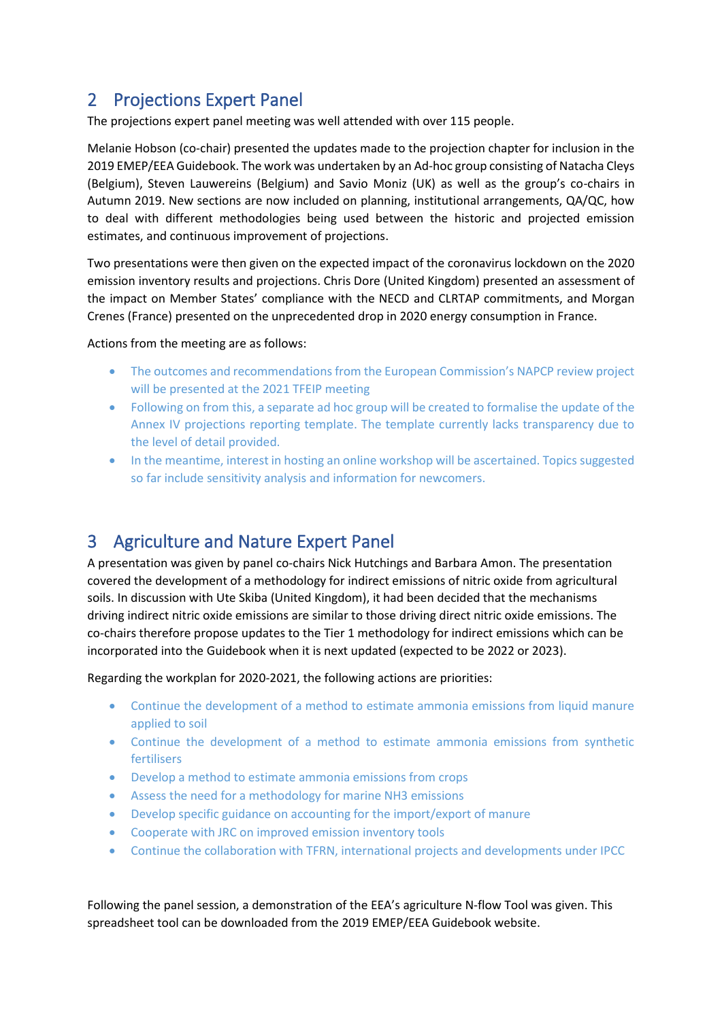# 2 Projections Expert Panel

The projections expert panel meeting was well attended with over 115 people.

Melanie Hobson (co-chair) presented the updates made to the projection chapter for inclusion in the 2019 EMEP/EEA Guidebook. The work was undertaken by an Ad-hoc group consisting of Natacha Cleys (Belgium), Steven Lauwereins (Belgium) and Savio Moniz (UK) as well as the group's co-chairs in Autumn 2019. New sections are now included on planning, institutional arrangements, QA/QC, how to deal with different methodologies being used between the historic and projected emission estimates, and continuous improvement of projections.

Two presentations were then given on the expected impact of the coronavirus lockdown on the 2020 emission inventory results and projections. Chris Dore (United Kingdom) presented an assessment of the impact on Member States' compliance with the NECD and CLRTAP commitments, and Morgan Crenes (France) presented on the unprecedented drop in 2020 energy consumption in France.

#### Actions from the meeting are as follows:

- The outcomes and recommendations from the European Commission's NAPCP review project will be presented at the 2021 TFEIP meeting
- Following on from this, a separate ad hoc group will be created to formalise the update of the Annex IV projections reporting template. The template currently lacks transparency due to the level of detail provided.
- In the meantime, interest in hosting an online workshop will be ascertained. Topics suggested so far include sensitivity analysis and information for newcomers.

# 3 Agriculture and Nature Expert Panel

A presentation was given by panel co-chairs Nick Hutchings and Barbara Amon. The presentation covered the development of a methodology for indirect emissions of nitric oxide from agricultural soils. In discussion with Ute Skiba (United Kingdom), it had been decided that the mechanisms driving indirect nitric oxide emissions are similar to those driving direct nitric oxide emissions. The co-chairs therefore propose updates to the Tier 1 methodology for indirect emissions which can be incorporated into the Guidebook when it is next updated (expected to be 2022 or 2023).

Regarding the workplan for 2020-2021, the following actions are priorities:

- Continue the development of a method to estimate ammonia emissions from liquid manure applied to soil
- Continue the development of a method to estimate ammonia emissions from synthetic fertilisers
- Develop a method to estimate ammonia emissions from crops
- Assess the need for a methodology for marine NH3 emissions
- Develop specific guidance on accounting for the import/export of manure
- Cooperate with JRC on improved emission inventory tools
- Continue the collaboration with TFRN, international projects and developments under IPCC

Following the panel session, a demonstration of the EEA's agriculture N-flow Tool was given. This spreadsheet tool can be downloaded from the 2019 EMEP/EEA Guidebook website.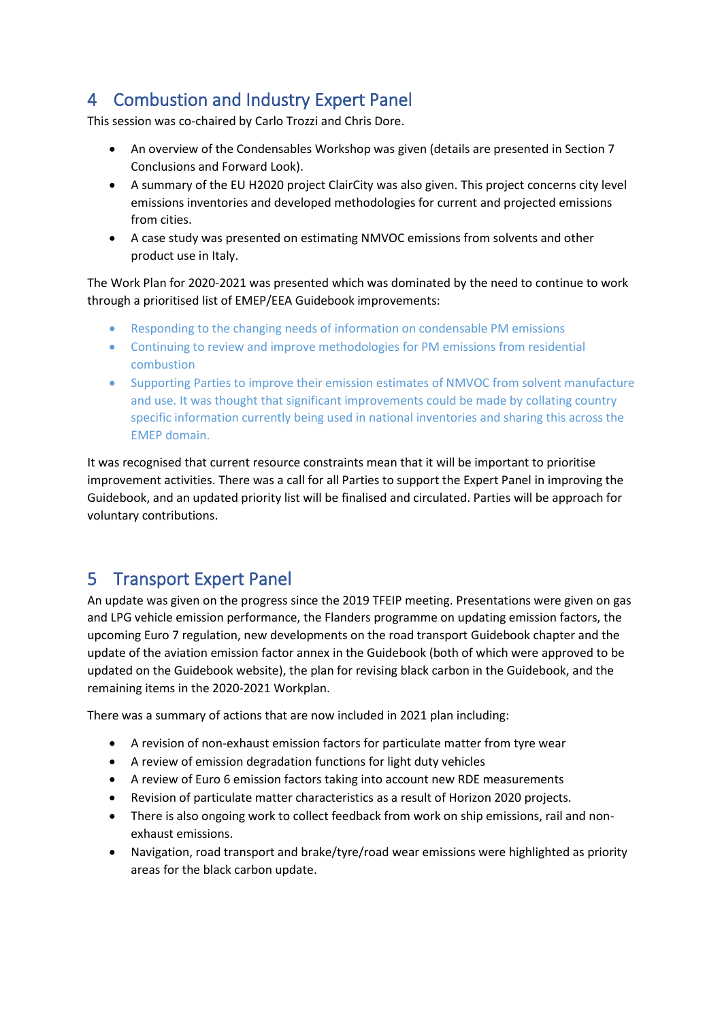# 4 Combustion and Industry Expert Panel

This session was co-chaired by Carlo Trozzi and Chris Dore.

- An overview of the Condensables Workshop was given (details are presented in Section [7](#page-6-0) [Conclusions and Forward Look\)](#page-6-0).
- A summary of the EU H2020 project ClairCity was also given. This project concerns city level emissions inventories and developed methodologies for current and projected emissions from cities.
- A case study was presented on estimating NMVOC emissions from solvents and other product use in Italy.

The Work Plan for 2020-2021 was presented which was dominated by the need to continue to work through a prioritised list of EMEP/EEA Guidebook improvements:

- Responding to the changing needs of information on condensable PM emissions
- Continuing to review and improve methodologies for PM emissions from residential combustion
- Supporting Parties to improve their emission estimates of NMVOC from solvent manufacture and use. It was thought that significant improvements could be made by collating country specific information currently being used in national inventories and sharing this across the EMEP domain.

It was recognised that current resource constraints mean that it will be important to prioritise improvement activities. There was a call for all Parties to support the Expert Panel in improving the Guidebook, and an updated priority list will be finalised and circulated. Parties will be approach for voluntary contributions.

## 5 Transport Expert Panel

An update was given on the progress since the 2019 TFEIP meeting. Presentations were given on gas and LPG vehicle emission performance, the Flanders programme on updating emission factors, the upcoming Euro 7 regulation, new developments on the road transport Guidebook chapter and the update of the aviation emission factor annex in the Guidebook (both of which were approved to be updated on the Guidebook website), the plan for revising black carbon in the Guidebook, and the remaining items in the 2020-2021 Workplan.

There was a summary of actions that are now included in 2021 plan including:

- A revision of non-exhaust emission factors for particulate matter from tyre wear
- A review of emission degradation functions for light duty vehicles
- A review of Euro 6 emission factors taking into account new RDE measurements
- Revision of particulate matter characteristics as a result of Horizon 2020 projects.
- There is also ongoing work to collect feedback from work on ship emissions, rail and nonexhaust emissions.
- Navigation, road transport and brake/tyre/road wear emissions were highlighted as priority areas for the black carbon update.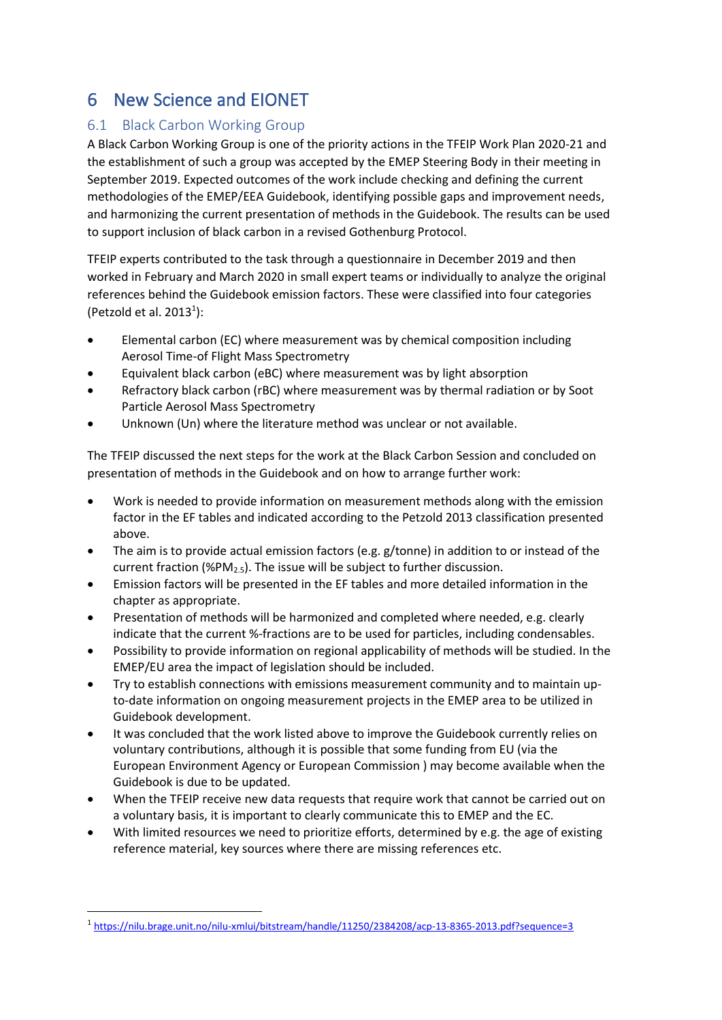# 6 New Science and EIONET

### 6.1 Black Carbon Working Group

A Black Carbon Working Group is one of the priority actions in the TFEIP Work Plan 2020-21 and the establishment of such a group was accepted by the EMEP Steering Body in their meeting in September 2019. Expected outcomes of the work include checking and defining the current methodologies of the EMEP/EEA Guidebook, identifying possible gaps and improvement needs, and harmonizing the current presentation of methods in the Guidebook. The results can be used to support inclusion of black carbon in a revised Gothenburg Protocol.

TFEIP experts contributed to the task through a questionnaire in December 2019 and then worked in February and March 2020 in small expert teams or individually to analyze the original references behind the Guidebook emission factors. These were classified into four categories (Petzold et al. 2013<sup>1</sup>):

- Elemental carbon (EC) where measurement was by chemical composition including Aerosol Time-of Flight Mass Spectrometry
- Equivalent black carbon (eBC) where measurement was by light absorption
- Refractory black carbon (rBC) where measurement was by thermal radiation or by Soot Particle Aerosol Mass Spectrometry
- Unknown (Un) where the literature method was unclear or not available.

The TFEIP discussed the next steps for the work at the Black Carbon Session and concluded on presentation of methods in the Guidebook and on how to arrange further work:

- Work is needed to provide information on measurement methods along with the emission factor in the EF tables and indicated according to the Petzold 2013 classification presented above.
- The aim is to provide actual emission factors (e.g. g/tonne) in addition to or instead of the current fraction (%PM<sub>2.5</sub>). The issue will be subject to further discussion.
- Emission factors will be presented in the EF tables and more detailed information in the chapter as appropriate.
- Presentation of methods will be harmonized and completed where needed, e.g. clearly indicate that the current %-fractions are to be used for particles, including condensables.
- Possibility to provide information on regional applicability of methods will be studied. In the EMEP/EU area the impact of legislation should be included.
- Try to establish connections with emissions measurement community and to maintain upto-date information on ongoing measurement projects in the EMEP area to be utilized in Guidebook development.
- It was concluded that the work listed above to improve the Guidebook currently relies on voluntary contributions, although it is possible that some funding from EU (via the European Environment Agency or European Commission ) may become available when the Guidebook is due to be updated.
- When the TFEIP receive new data requests that require work that cannot be carried out on a voluntary basis, it is important to clearly communicate this to EMEP and the EC.
- With limited resources we need to prioritize efforts, determined by e.g. the age of existing reference material, key sources where there are missing references etc.

<sup>1</sup> <https://nilu.brage.unit.no/nilu-xmlui/bitstream/handle/11250/2384208/acp-13-8365-2013.pdf?sequence=3>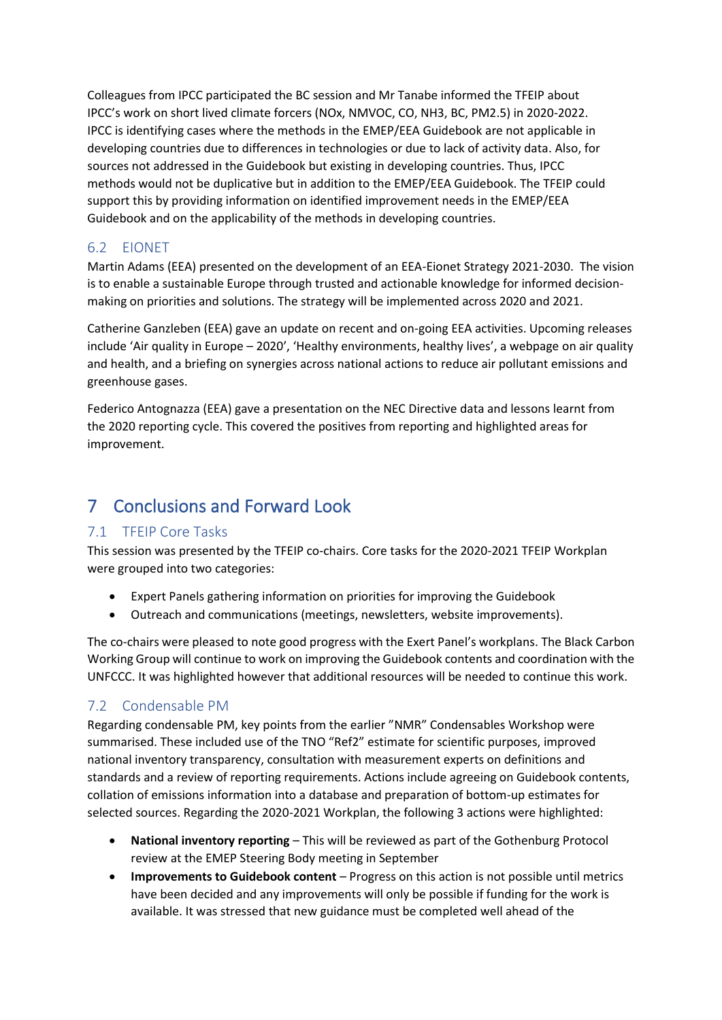Colleagues from IPCC participated the BC session and Mr Tanabe informed the TFEIP about IPCC's work on short lived climate forcers (NOx, NMVOC, CO, NH3, BC, PM2.5) in 2020-2022. IPCC is identifying cases where the methods in the EMEP/EEA Guidebook are not applicable in developing countries due to differences in technologies or due to lack of activity data. Also, for sources not addressed in the Guidebook but existing in developing countries. Thus, IPCC methods would not be duplicative but in addition to the EMEP/EEA Guidebook. The TFEIP could support this by providing information on identified improvement needs in the EMEP/EEA Guidebook and on the applicability of the methods in developing countries.

### 6.2 EIONET

Martin Adams (EEA) presented on the development of an EEA-Eionet Strategy 2021-2030. The vision is to enable a sustainable Europe through trusted and actionable knowledge for informed decisionmaking on priorities and solutions. The strategy will be implemented across 2020 and 2021.

Catherine Ganzleben (EEA) gave an update on recent and on-going EEA activities. Upcoming releases include 'Air quality in Europe – 2020', 'Healthy environments, healthy lives', a webpage on air quality and health, and a briefing on synergies across national actions to reduce air pollutant emissions and greenhouse gases.

Federico Antognazza (EEA) gave a presentation on the NEC Directive data and lessons learnt from the 2020 reporting cycle. This covered the positives from reporting and highlighted areas for improvement.

# <span id="page-6-0"></span>7 Conclusions and Forward Look

### 7.1 TFEIP Core Tasks

This session was presented by the TFEIP co-chairs. Core tasks for the 2020-2021 TFEIP Workplan were grouped into two categories:

- Expert Panels gathering information on priorities for improving the Guidebook
- Outreach and communications (meetings, newsletters, website improvements).

The co-chairs were pleased to note good progress with the Exert Panel's workplans. The Black Carbon Working Group will continue to work on improving the Guidebook contents and coordination with the UNFCCC. It was highlighted however that additional resources will be needed to continue this work.

### 7.2 Condensable PM

Regarding condensable PM, key points from the earlier "NMR" Condensables Workshop were summarised. These included use of the TNO "Ref2" estimate for scientific purposes, improved national inventory transparency, consultation with measurement experts on definitions and standards and a review of reporting requirements. Actions include agreeing on Guidebook contents, collation of emissions information into a database and preparation of bottom-up estimates for selected sources. Regarding the 2020-2021 Workplan, the following 3 actions were highlighted:

- **National inventory reporting** This will be reviewed as part of the Gothenburg Protocol review at the EMEP Steering Body meeting in September
- **Improvements to Guidebook content** Progress on this action is not possible until metrics have been decided and any improvements will only be possible if funding for the work is available. It was stressed that new guidance must be completed well ahead of the